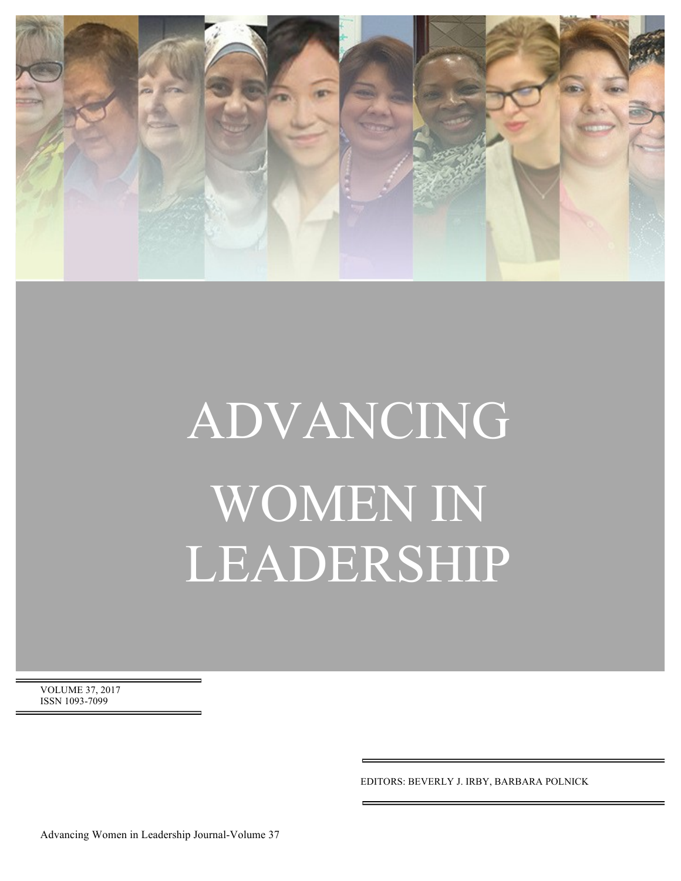

# ADVANCING WOMEN IN LEADERSHIP

VOLUME 37, 2017 ISSN 1093-7099

EDITORS: BEVERLY J. IRBY, BARBARA POLNICK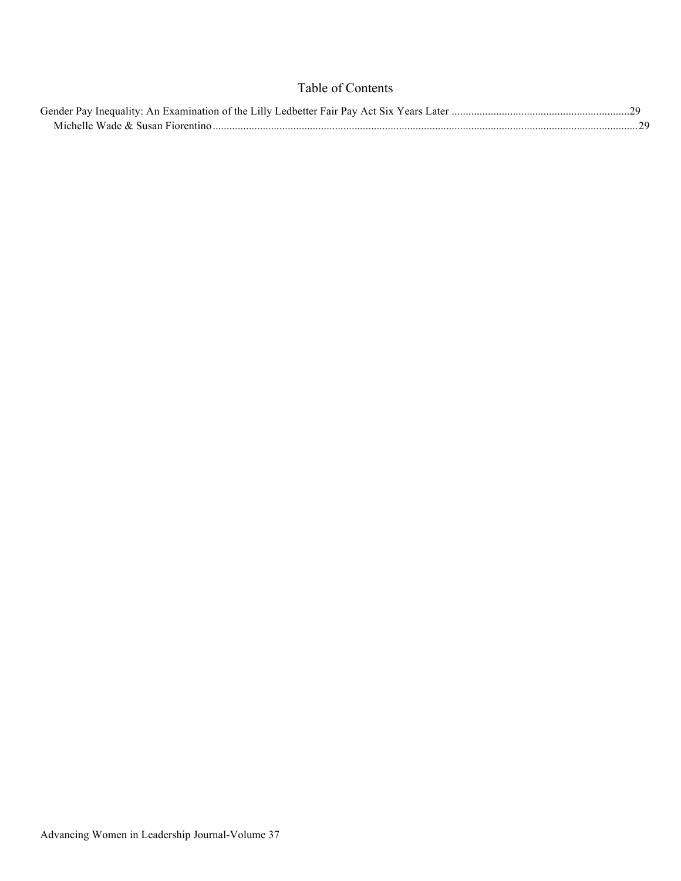## Table of Contents

| Gender Pay Inequality: An Examination of the Lilly Ledbetter Fair Pay Act Six Years Later. |  |
|--------------------------------------------------------------------------------------------|--|
| Michelle Wade $\&$ Susan Fiorentino                                                        |  |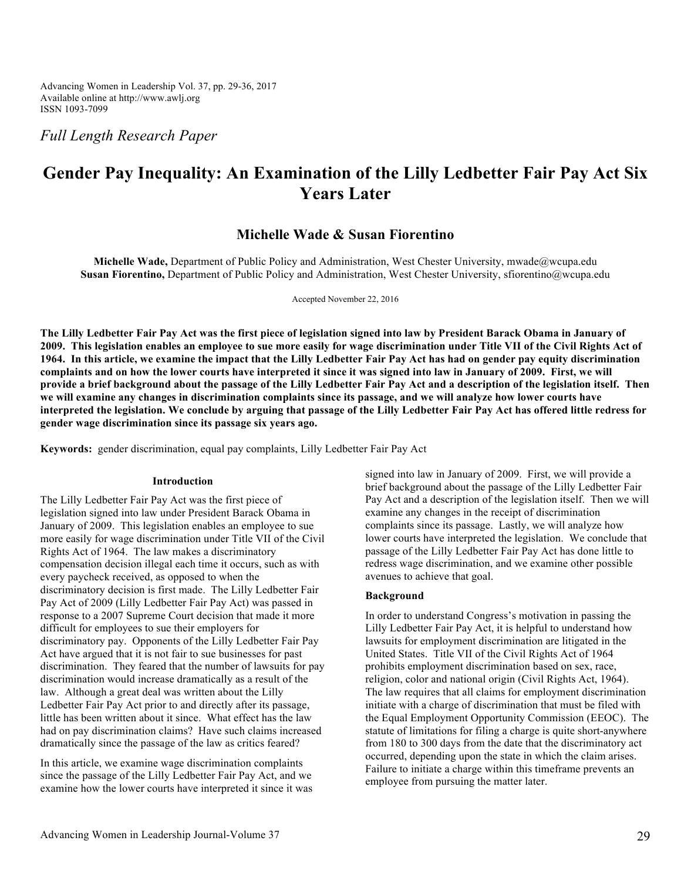Advancing Women in Leadership Vol. 37, pp. 29-36, 2017 Available online at http://www.awlj.org ISSN 1093-7099

*Full Length Research Paper*

# **Gender Pay Inequality: An Examination of the Lilly Ledbetter Fair Pay Act Six Years Later**

### **Michelle Wade & Susan Fiorentino**

**Michelle Wade,** Department of Public Policy and Administration, West Chester University, mwade@wcupa.edu **Susan Fiorentino,** Department of Public Policy and Administration, West Chester University, sfiorentino@wcupa.edu

Accepted November 22, 2016

**The Lilly Ledbetter Fair Pay Act was the first piece of legislation signed into law by President Barack Obama in January of 2009. This legislation enables an employee to sue more easily for wage discrimination under Title VII of the Civil Rights Act of 1964. In this article, we examine the impact that the Lilly Ledbetter Fair Pay Act has had on gender pay equity discrimination complaints and on how the lower courts have interpreted it since it was signed into law in January of 2009. First, we will provide a brief background about the passage of the Lilly Ledbetter Fair Pay Act and a description of the legislation itself. Then we will examine any changes in discrimination complaints since its passage, and we will analyze how lower courts have interpreted the legislation. We conclude by arguing that passage of the Lilly Ledbetter Fair Pay Act has offered little redress for gender wage discrimination since its passage six years ago.**

**Keywords:** gender discrimination, equal pay complaints, Lilly Ledbetter Fair Pay Act

#### **Introduction**

The Lilly Ledbetter Fair Pay Act was the first piece of legislation signed into law under President Barack Obama in January of 2009. This legislation enables an employee to sue more easily for wage discrimination under Title VII of the Civil Rights Act of 1964. The law makes a discriminatory compensation decision illegal each time it occurs, such as with every paycheck received, as opposed to when the discriminatory decision is first made. The Lilly Ledbetter Fair Pay Act of 2009 (Lilly Ledbetter Fair Pay Act) was passed in response to a 2007 Supreme Court decision that made it more difficult for employees to sue their employers for discriminatory pay. Opponents of the Lilly Ledbetter Fair Pay Act have argued that it is not fair to sue businesses for past discrimination. They feared that the number of lawsuits for pay discrimination would increase dramatically as a result of the law. Although a great deal was written about the Lilly Ledbetter Fair Pay Act prior to and directly after its passage, little has been written about it since. What effect has the law had on pay discrimination claims? Have such claims increased dramatically since the passage of the law as critics feared?

In this article, we examine wage discrimination complaints since the passage of the Lilly Ledbetter Fair Pay Act, and we examine how the lower courts have interpreted it since it was signed into law in January of 2009. First, we will provide a brief background about the passage of the Lilly Ledbetter Fair Pay Act and a description of the legislation itself. Then we will examine any changes in the receipt of discrimination complaints since its passage. Lastly, we will analyze how lower courts have interpreted the legislation. We conclude that passage of the Lilly Ledbetter Fair Pay Act has done little to redress wage discrimination, and we examine other possible avenues to achieve that goal.

#### **Background**

In order to understand Congress's motivation in passing the Lilly Ledbetter Fair Pay Act, it is helpful to understand how lawsuits for employment discrimination are litigated in the United States. Title VII of the Civil Rights Act of 1964 prohibits employment discrimination based on sex, race, religion, color and national origin (Civil Rights Act, 1964). The law requires that all claims for employment discrimination initiate with a charge of discrimination that must be filed with the Equal Employment Opportunity Commission (EEOC). The statute of limitations for filing a charge is quite short-anywhere from 180 to 300 days from the date that the discriminatory act occurred, depending upon the state in which the claim arises. Failure to initiate a charge within this timeframe prevents an employee from pursuing the matter later.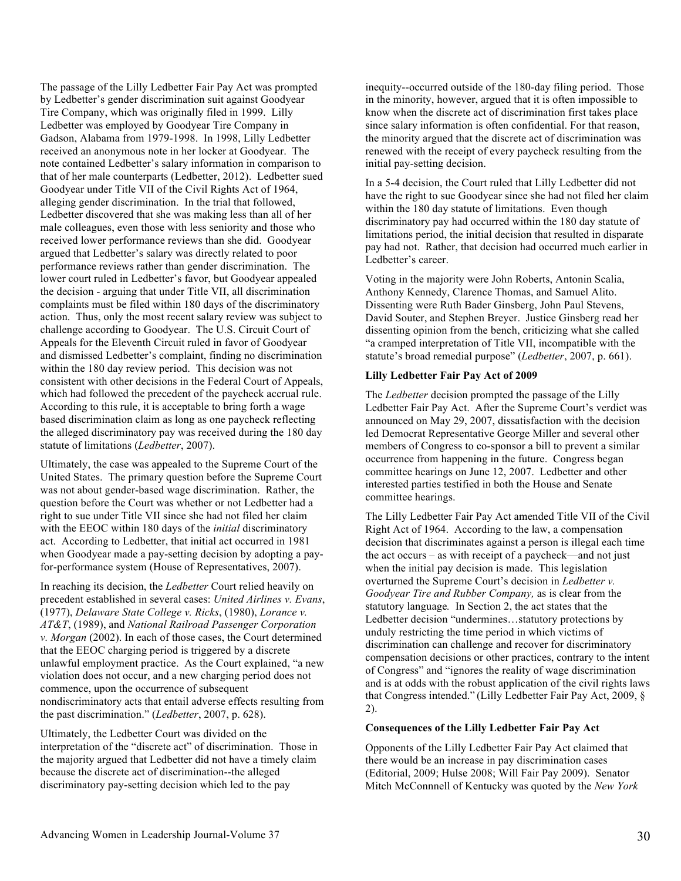The passage of the Lilly Ledbetter Fair Pay Act was prompted by Ledbetter's gender discrimination suit against Goodyear Tire Company, which was originally filed in 1999. Lilly Ledbetter was employed by Goodyear Tire Company in Gadson, Alabama from 1979-1998. In 1998, Lilly Ledbetter received an anonymous note in her locker at Goodyear. The note contained Ledbetter's salary information in comparison to that of her male counterparts (Ledbetter, 2012). Ledbetter sued Goodyear under Title VII of the Civil Rights Act of 1964, alleging gender discrimination. In the trial that followed, Ledbetter discovered that she was making less than all of her male colleagues, even those with less seniority and those who received lower performance reviews than she did. Goodyear argued that Ledbetter's salary was directly related to poor performance reviews rather than gender discrimination. The lower court ruled in Ledbetter's favor, but Goodyear appealed the decision - arguing that under Title VII, all discrimination complaints must be filed within 180 days of the discriminatory action. Thus, only the most recent salary review was subject to challenge according to Goodyear. The U.S. Circuit Court of Appeals for the Eleventh Circuit ruled in favor of Goodyear and dismissed Ledbetter's complaint, finding no discrimination within the 180 day review period. This decision was not consistent with other decisions in the Federal Court of Appeals, which had followed the precedent of the paycheck accrual rule. According to this rule, it is acceptable to bring forth a wage based discrimination claim as long as one paycheck reflecting the alleged discriminatory pay was received during the 180 day statute of limitations (*Ledbetter*, 2007).

Ultimately, the case was appealed to the Supreme Court of the United States. The primary question before the Supreme Court was not about gender-based wage discrimination. Rather, the question before the Court was whether or not Ledbetter had a right to sue under Title VII since she had not filed her claim with the EEOC within 180 days of the *initial* discriminatory act. According to Ledbetter, that initial act occurred in 1981 when Goodyear made a pay-setting decision by adopting a payfor-performance system (House of Representatives, 2007).

In reaching its decision, the *Ledbetter* Court relied heavily on precedent established in several cases: *United Airlines v. Evans*, (1977), *Delaware State College v. Ricks*, (1980), *Lorance v. AT&T*, (1989), and *National Railroad Passenger Corporation v. Morgan* (2002). In each of those cases, the Court determined that the EEOC charging period is triggered by a discrete unlawful employment practice. As the Court explained, "a new violation does not occur, and a new charging period does not commence, upon the occurrence of subsequent nondiscriminatory acts that entail adverse effects resulting from the past discrimination." (*Ledbetter*, 2007, p. 628).

Ultimately, the Ledbetter Court was divided on the interpretation of the "discrete act" of discrimination. Those in the majority argued that Ledbetter did not have a timely claim because the discrete act of discrimination--the alleged discriminatory pay-setting decision which led to the pay

inequity--occurred outside of the 180-day filing period. Those in the minority, however, argued that it is often impossible to know when the discrete act of discrimination first takes place since salary information is often confidential. For that reason, the minority argued that the discrete act of discrimination was renewed with the receipt of every paycheck resulting from the initial pay-setting decision.

In a 5-4 decision, the Court ruled that Lilly Ledbetter did not have the right to sue Goodyear since she had not filed her claim within the 180 day statute of limitations. Even though discriminatory pay had occurred within the 180 day statute of limitations period, the initial decision that resulted in disparate pay had not. Rather, that decision had occurred much earlier in Ledbetter's career.

Voting in the majority were John Roberts, Antonin Scalia, Anthony Kennedy, Clarence Thomas, and Samuel Alito. Dissenting were Ruth Bader Ginsberg, John Paul Stevens, David Souter, and Stephen Breyer. Justice Ginsberg read her dissenting opinion from the bench, criticizing what she called "a cramped interpretation of Title VII, incompatible with the statute's broad remedial purpose" (*Ledbetter*, 2007, p. 661).

#### **Lilly Ledbetter Fair Pay Act of 2009**

The *Ledbetter* decision prompted the passage of the Lilly Ledbetter Fair Pay Act. After the Supreme Court's verdict was announced on May 29, 2007, dissatisfaction with the decision led Democrat Representative George Miller and several other members of Congress to co-sponsor a bill to prevent a similar occurrence from happening in the future. Congress began committee hearings on June 12, 2007. Ledbetter and other interested parties testified in both the House and Senate committee hearings.

The Lilly Ledbetter Fair Pay Act amended Title VII of the Civil Right Act of 1964. According to the law, a compensation decision that discriminates against a person is illegal each time the act occurs – as with receipt of a paycheck—and not just when the initial pay decision is made. This legislation overturned the Supreme Court's decision in *Ledbetter v. Goodyear Tire and Rubber Company,* as is clear from the statutory language*.* In Section 2, the act states that the Ledbetter decision "undermines…statutory protections by unduly restricting the time period in which victims of discrimination can challenge and recover for discriminatory compensation decisions or other practices, contrary to the intent of Congress" and "ignores the reality of wage discrimination and is at odds with the robust application of the civil rights laws that Congress intended." (Lilly Ledbetter Fair Pay Act, 2009, § 2).

#### **Consequences of the Lilly Ledbetter Fair Pay Act**

Opponents of the Lilly Ledbetter Fair Pay Act claimed that there would be an increase in pay discrimination cases (Editorial, 2009; Hulse 2008; Will Fair Pay 2009). Senator Mitch McConnnell of Kentucky was quoted by the *New York*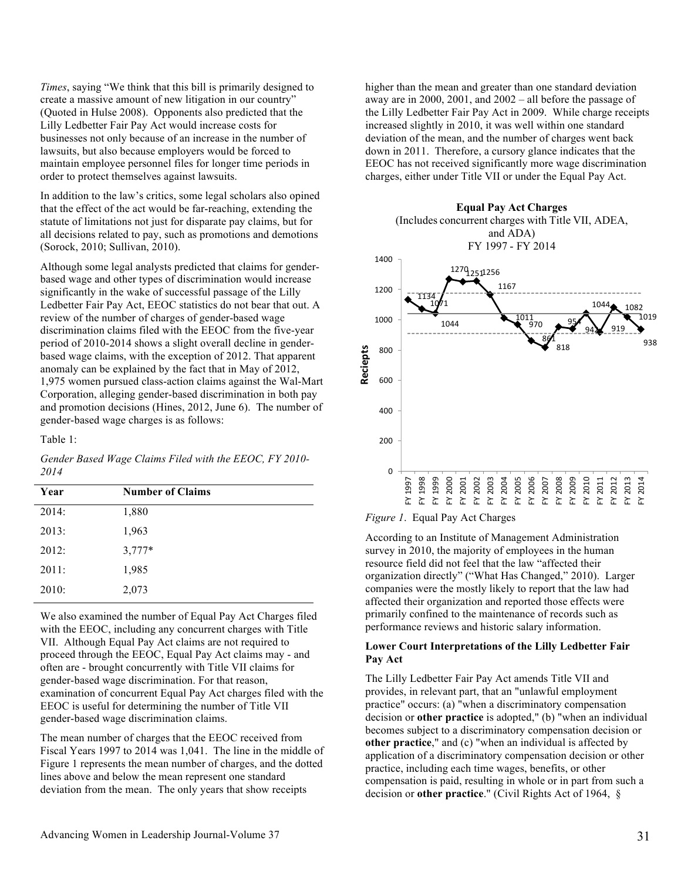*Times*, saying "We think that this bill is primarily designed to create a massive amount of new litigation in our country" (Quoted in Hulse 2008). Opponents also predicted that the Lilly Ledbetter Fair Pay Act would increase costs for businesses not only because of an increase in the number of lawsuits, but also because employers would be forced to maintain employee personnel files for longer time periods in order to protect themselves against lawsuits.

In addition to the law's critics, some legal scholars also opined that the effect of the act would be far-reaching, extending the statute of limitations not just for disparate pay claims, but for all decisions related to pay, such as promotions and demotions (Sorock, 2010; Sullivan, 2010).

Although some legal analysts predicted that claims for genderbased wage and other types of discrimination would increase significantly in the wake of successful passage of the Lilly Ledbetter Fair Pay Act, EEOC statistics do not bear that out. A review of the number of charges of gender-based wage discrimination claims filed with the EEOC from the five-year period of 2010-2014 shows a slight overall decline in genderbased wage claims, with the exception of 2012. That apparent anomaly can be explained by the fact that in May of 2012, 1,975 women pursued class-action claims against the Wal-Mart Corporation, alleging gender-based discrimination in both pay and promotion decisions (Hines, 2012, June 6). The number of gender-based wage charges is as follows:

#### Table 1:

*Gender Based Wage Claims Filed with the EEOC, FY 2010- 2014*

| Year  | <b>Number of Claims</b> |
|-------|-------------------------|
| 2014: | 1,880                   |
| 2013: | 1,963                   |
| 2012: | $3,777*$                |
| 2011: | 1,985                   |
| 2010: | 2,073                   |

We also examined the number of Equal Pay Act Charges filed with the EEOC, including any concurrent charges with Title VII. Although Equal Pay Act claims are not required to proceed through the EEOC, Equal Pay Act claims may - and often are - brought concurrently with Title VII claims for gender-based wage discrimination. For that reason, examination of concurrent Equal Pay Act charges filed with the EEOC is useful for determining the number of Title VII gender-based wage discrimination claims.

The mean number of charges that the EEOC received from Fiscal Years 1997 to 2014 was 1,041. The line in the middle of Figure 1 represents the mean number of charges, and the dotted lines above and below the mean represent one standard deviation from the mean. The only years that show receipts

higher than the mean and greater than one standard deviation away are in 2000, 2001, and 2002 – all before the passage of the Lilly Ledbetter Fair Pay Act in 2009. While charge receipts increased slightly in 2010, it was well within one standard deviation of the mean, and the number of charges went back down in 2011. Therefore, a cursory glance indicates that the EEOC has not received significantly more wage discrimination charges, either under Title VII or under the Equal Pay Act.





According to an Institute of Management Administration survey in 2010, the majority of employees in the human resource field did not feel that the law "affected their organization directly" ("What Has Changed," 2010). Larger companies were the mostly likely to report that the law had affected their organization and reported those effects were primarily confined to the maintenance of records such as performance reviews and historic salary information.

#### **Lower Court Interpretations of the Lilly Ledbetter Fair Pay Act**

The Lilly Ledbetter Fair Pay Act amends Title VII and provides, in relevant part, that an "unlawful employment practice" occurs: (a) "when a discriminatory compensation decision or **other practice** is adopted," (b) "when an individual becomes subject to a discriminatory compensation decision or **other practice**," and (c) "when an individual is affected by application of a discriminatory compensation decision or other practice, including each time wages, benefits, or other compensation is paid, resulting in whole or in part from such a decision or **other practice**." (Civil Rights Act of 1964, §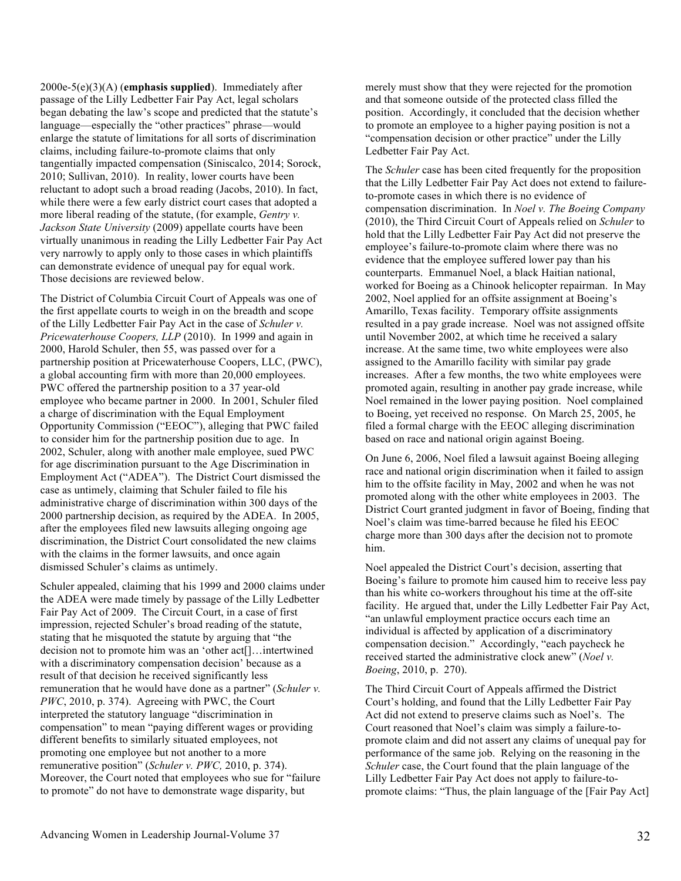2000e-5(e)(3)(A) (**emphasis supplied**). Immediately after passage of the Lilly Ledbetter Fair Pay Act, legal scholars began debating the law's scope and predicted that the statute's language—especially the "other practices" phrase—would enlarge the statute of limitations for all sorts of discrimination claims, including failure-to-promote claims that only tangentially impacted compensation (Siniscalco, 2014; Sorock, 2010; Sullivan, 2010). In reality, lower courts have been reluctant to adopt such a broad reading (Jacobs, 2010). In fact, while there were a few early district court cases that adopted a more liberal reading of the statute, (for example, *Gentry v. Jackson State University* (2009) appellate courts have been virtually unanimous in reading the Lilly Ledbetter Fair Pay Act very narrowly to apply only to those cases in which plaintiffs can demonstrate evidence of unequal pay for equal work. Those decisions are reviewed below.

The District of Columbia Circuit Court of Appeals was one of the first appellate courts to weigh in on the breadth and scope of the Lilly Ledbetter Fair Pay Act in the case of *Schuler v. Pricewaterhouse Coopers, LLP* (2010). In 1999 and again in 2000, Harold Schuler, then 55, was passed over for a partnership position at Pricewaterhouse Coopers, LLC, (PWC), a global accounting firm with more than 20,000 employees. PWC offered the partnership position to a 37 year-old employee who became partner in 2000. In 2001, Schuler filed a charge of discrimination with the Equal Employment Opportunity Commission ("EEOC"), alleging that PWC failed to consider him for the partnership position due to age. In 2002, Schuler, along with another male employee, sued PWC for age discrimination pursuant to the Age Discrimination in Employment Act ("ADEA"). The District Court dismissed the case as untimely, claiming that Schuler failed to file his administrative charge of discrimination within 300 days of the 2000 partnership decision, as required by the ADEA. In 2005, after the employees filed new lawsuits alleging ongoing age discrimination, the District Court consolidated the new claims with the claims in the former lawsuits, and once again dismissed Schuler's claims as untimely.

Schuler appealed, claiming that his 1999 and 2000 claims under the ADEA were made timely by passage of the Lilly Ledbetter Fair Pay Act of 2009. The Circuit Court, in a case of first impression, rejected Schuler's broad reading of the statute, stating that he misquoted the statute by arguing that "the decision not to promote him was an 'other act[]…intertwined with a discriminatory compensation decision' because as a result of that decision he received significantly less remuneration that he would have done as a partner" (*Schuler v. PWC*, 2010, p. 374). Agreeing with PWC, the Court interpreted the statutory language "discrimination in compensation" to mean "paying different wages or providing different benefits to similarly situated employees, not promoting one employee but not another to a more remunerative position" (*Schuler v. PWC,* 2010, p. 374). Moreover, the Court noted that employees who sue for "failure to promote" do not have to demonstrate wage disparity, but

merely must show that they were rejected for the promotion and that someone outside of the protected class filled the position. Accordingly, it concluded that the decision whether to promote an employee to a higher paying position is not a "compensation decision or other practice" under the Lilly Ledbetter Fair Pay Act.

The *Schuler* case has been cited frequently for the proposition that the Lilly Ledbetter Fair Pay Act does not extend to failureto-promote cases in which there is no evidence of compensation discrimination. In *Noel v. The Boeing Company* (2010), the Third Circuit Court of Appeals relied on *Schuler* to hold that the Lilly Ledbetter Fair Pay Act did not preserve the employee's failure-to-promote claim where there was no evidence that the employee suffered lower pay than his counterparts. Emmanuel Noel, a black Haitian national, worked for Boeing as a Chinook helicopter repairman. In May 2002, Noel applied for an offsite assignment at Boeing's Amarillo, Texas facility. Temporary offsite assignments resulted in a pay grade increase. Noel was not assigned offsite until November 2002, at which time he received a salary increase. At the same time, two white employees were also assigned to the Amarillo facility with similar pay grade increases. After a few months, the two white employees were promoted again, resulting in another pay grade increase, while Noel remained in the lower paying position. Noel complained to Boeing, yet received no response. On March 25, 2005, he filed a formal charge with the EEOC alleging discrimination based on race and national origin against Boeing.

On June 6, 2006, Noel filed a lawsuit against Boeing alleging race and national origin discrimination when it failed to assign him to the offsite facility in May, 2002 and when he was not promoted along with the other white employees in 2003. The District Court granted judgment in favor of Boeing, finding that Noel's claim was time-barred because he filed his EEOC charge more than 300 days after the decision not to promote him.

Noel appealed the District Court's decision, asserting that Boeing's failure to promote him caused him to receive less pay than his white co-workers throughout his time at the off-site facility. He argued that, under the Lilly Ledbetter Fair Pay Act, "an unlawful employment practice occurs each time an individual is affected by application of a discriminatory compensation decision." Accordingly, "each paycheck he received started the administrative clock anew" (*Noel v. Boeing*, 2010, p. 270).

The Third Circuit Court of Appeals affirmed the District Court's holding, and found that the Lilly Ledbetter Fair Pay Act did not extend to preserve claims such as Noel's. The Court reasoned that Noel's claim was simply a failure-topromote claim and did not assert any claims of unequal pay for performance of the same job. Relying on the reasoning in the *Schuler* case, the Court found that the plain language of the Lilly Ledbetter Fair Pay Act does not apply to failure-topromote claims: "Thus, the plain language of the [Fair Pay Act]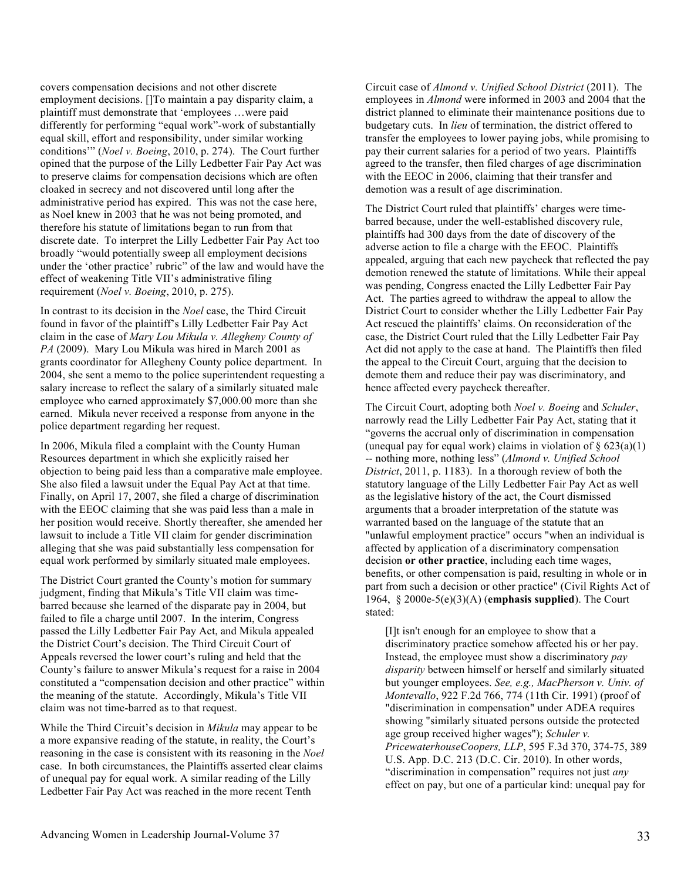covers compensation decisions and not other discrete employment decisions. []To maintain a pay disparity claim, a plaintiff must demonstrate that 'employees …were paid differently for performing "equal work"-work of substantially equal skill, effort and responsibility, under similar working conditions'" (*Noel v. Boeing*, 2010, p. 274). The Court further opined that the purpose of the Lilly Ledbetter Fair Pay Act was to preserve claims for compensation decisions which are often cloaked in secrecy and not discovered until long after the administrative period has expired. This was not the case here, as Noel knew in 2003 that he was not being promoted, and therefore his statute of limitations began to run from that discrete date. To interpret the Lilly Ledbetter Fair Pay Act too broadly "would potentially sweep all employment decisions under the 'other practice' rubric" of the law and would have the effect of weakening Title VII's administrative filing requirement (*Noel v. Boeing*, 2010, p. 275).

In contrast to its decision in the *Noel* case, the Third Circuit found in favor of the plaintiff's Lilly Ledbetter Fair Pay Act claim in the case of *Mary Lou Mikula v. Allegheny County of PA* (2009). Mary Lou Mikula was hired in March 2001 as grants coordinator for Allegheny County police department. In 2004, she sent a memo to the police superintendent requesting a salary increase to reflect the salary of a similarly situated male employee who earned approximately \$7,000.00 more than she earned. Mikula never received a response from anyone in the police department regarding her request.

In 2006, Mikula filed a complaint with the County Human Resources department in which she explicitly raised her objection to being paid less than a comparative male employee. She also filed a lawsuit under the Equal Pay Act at that time. Finally, on April 17, 2007, she filed a charge of discrimination with the EEOC claiming that she was paid less than a male in her position would receive. Shortly thereafter, she amended her lawsuit to include a Title VII claim for gender discrimination alleging that she was paid substantially less compensation for equal work performed by similarly situated male employees.

The District Court granted the County's motion for summary judgment, finding that Mikula's Title VII claim was timebarred because she learned of the disparate pay in 2004, but failed to file a charge until 2007. In the interim, Congress passed the Lilly Ledbetter Fair Pay Act, and Mikula appealed the District Court's decision. The Third Circuit Court of Appeals reversed the lower court's ruling and held that the County's failure to answer Mikula's request for a raise in 2004 constituted a "compensation decision and other practice" within the meaning of the statute. Accordingly, Mikula's Title VII claim was not time-barred as to that request.

While the Third Circuit's decision in *Mikula* may appear to be a more expansive reading of the statute, in reality, the Court's reasoning in the case is consistent with its reasoning in the *Noel* case. In both circumstances, the Plaintiffs asserted clear claims of unequal pay for equal work. A similar reading of the Lilly Ledbetter Fair Pay Act was reached in the more recent Tenth

Circuit case of *Almond v. Unified School District* (2011). The employees in *Almond* were informed in 2003 and 2004 that the district planned to eliminate their maintenance positions due to budgetary cuts. In *lieu* of termination, the district offered to transfer the employees to lower paying jobs, while promising to pay their current salaries for a period of two years. Plaintiffs agreed to the transfer, then filed charges of age discrimination with the EEOC in 2006, claiming that their transfer and demotion was a result of age discrimination.

The District Court ruled that plaintiffs' charges were timebarred because, under the well-established discovery rule, plaintiffs had 300 days from the date of discovery of the adverse action to file a charge with the EEOC. Plaintiffs appealed, arguing that each new paycheck that reflected the pay demotion renewed the statute of limitations. While their appeal was pending, Congress enacted the Lilly Ledbetter Fair Pay Act. The parties agreed to withdraw the appeal to allow the District Court to consider whether the Lilly Ledbetter Fair Pay Act rescued the plaintiffs' claims. On reconsideration of the case, the District Court ruled that the Lilly Ledbetter Fair Pay Act did not apply to the case at hand. The Plaintiffs then filed the appeal to the Circuit Court, arguing that the decision to demote them and reduce their pay was discriminatory, and hence affected every paycheck thereafter.

The Circuit Court, adopting both *Noel v. Boeing* and *Schuler*, narrowly read the Lilly Ledbetter Fair Pay Act, stating that it "governs the accrual only of discrimination in compensation (unequal pay for equal work) claims in violation of  $\S 623(a)(1)$ -- nothing more, nothing less" (*Almond v. Unified School District*, 2011, p. 1183). In a thorough review of both the statutory language of the Lilly Ledbetter Fair Pay Act as well as the legislative history of the act, the Court dismissed arguments that a broader interpretation of the statute was warranted based on the language of the statute that an "unlawful employment practice" occurs "when an individual is affected by application of a discriminatory compensation decision **or other practice**, including each time wages, benefits, or other compensation is paid, resulting in whole or in part from such a decision or other practice" (Civil Rights Act of 1964, § 2000e-5(e)(3)(A) (**emphasis supplied**). The Court stated:

[I]t isn't enough for an employee to show that a discriminatory practice somehow affected his or her pay. Instead, the employee must show a discriminatory *pay disparity* between himself or herself and similarly situated but younger employees. *See, e.g., MacPherson v. Univ. of Montevallo*, 922 F.2d 766, 774 (11th Cir. 1991) (proof of "discrimination in compensation" under ADEA requires showing "similarly situated persons outside the protected age group received higher wages"); *Schuler v. PricewaterhouseCoopers, LLP*, 595 F.3d 370, 374-75, 389 U.S. App. D.C. 213 (D.C. Cir. 2010). In other words, "discrimination in compensation" requires not just *any* effect on pay, but one of a particular kind: unequal pay for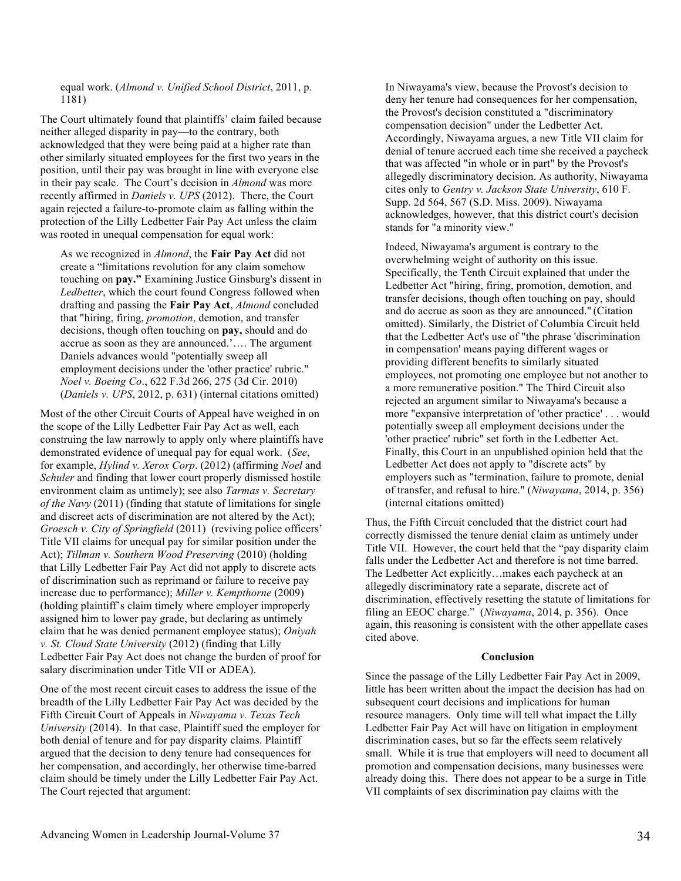equal work. (*Almond v. Unified School District*, 2011, p. 1181)

The Court ultimately found that plaintiffs' claim failed because neither alleged disparity in pay—to the contrary, both acknowledged that they were being paid at a higher rate than other similarly situated employees for the first two years in the position, until their pay was brought in line with everyone else in their pay scale. The Court's decision in *Almond* was more recently affirmed in *Daniels v. UPS* (2012). There, the Court again rejected a failure-to-promote claim as falling within the protection of the Lilly Ledbetter Fair Pay Act unless the claim was rooted in unequal compensation for equal work:

As we recognized in *Almond*, the **Fair Pay Act** did not create a "limitations revolution for any claim somehow touching on **pay."** Examining Justice Ginsburg's dissent in *Ledbetter*, which the court found Congress followed when drafting and passing the **Fair Pay Act**, *Almond* concluded that "hiring, firing, *promotion*, demotion, and transfer decisions, though often touching on **pay,** should and do accrue as soon as they are announced.'…. The argument Daniels advances would "potentially sweep all employment decisions under the 'other practice' rubric." *Noel v. Boeing Co*., 622 F.3d 266, 275 (3d Cir. 2010) (*Daniels v. UPS*, 2012, p. 631) (internal citations omitted)

Most of the other Circuit Courts of Appeal have weighed in on the scope of the Lilly Ledbetter Fair Pay Act as well, each construing the law narrowly to apply only where plaintiffs have demonstrated evidence of unequal pay for equal work. (*See*, for example, *Hylind v. Xerox Corp*. (2012) (affirming *Noel* and *Schuler* and finding that lower court properly dismissed hostile environment claim as untimely); see also *Tarmas v. Secretary of the Navy* (2011) (finding that statute of limitations for single and discreet acts of discrimination are not altered by the Act); *Groesch v. City of Springfield* (2011) (reviving police officers' Title VII claims for unequal pay for similar position under the Act); *Tillman v. Southern Wood Preserving* (2010) (holding that Lilly Ledbetter Fair Pay Act did not apply to discrete acts of discrimination such as reprimand or failure to receive pay increase due to performance); *Miller v. Kempthorne* (2009) (holding plaintiff's claim timely where employer improperly assigned him to lower pay grade, but declaring as untimely claim that he was denied permanent employee status); *Oniyah v. St. Cloud State University* (2012) (finding that Lilly Ledbetter Fair Pay Act does not change the burden of proof for salary discrimination under Title VII or ADEA).

One of the most recent circuit cases to address the issue of the breadth of the Lilly Ledbetter Fair Pay Act was decided by the Fifth Circuit Court of Appeals in *Niwayama v. Texas Tech University* (2014). In that case, Plaintiff sued the employer for both denial of tenure and for pay disparity claims. Plaintiff argued that the decision to deny tenure had consequences for her compensation, and accordingly, her otherwise time-barred claim should be timely under the Lilly Ledbetter Fair Pay Act. The Court rejected that argument:

In Niwayama's view, because the Provost's decision to deny her tenure had consequences for her compensation, the Provost's decision constituted a "discriminatory compensation decision" under the Ledbetter Act. Accordingly, Niwayama argues, a new Title VII claim for denial of tenure accrued each time she received a paycheck that was affected "in whole or in part" by the Provost's allegedly discriminatory decision. As authority, Niwayama cites only to *Gentry v. Jackson State University*, 610 F. Supp. 2d 564, 567 (S.D. Miss. 2009). Niwayama acknowledges, however, that this district court's decision stands for "a minority view."

Indeed, Niwayama's argument is contrary to the overwhelming weight of authority on this issue. Specifically, the Tenth Circuit explained that under the Ledbetter Act "hiring, firing, promotion, demotion, and transfer decisions, though often touching on pay, should and do accrue as soon as they are announced." (Citation omitted). Similarly, the District of Columbia Circuit held that the Ledbetter Act's use of "the phrase 'discrimination in compensation' means paying different wages or providing different benefits to similarly situated employees, not promoting one employee but not another to a more remunerative position." The Third Circuit also rejected an argument similar to Niwayama's because a more "expansive interpretation of 'other practice' . . . would potentially sweep all employment decisions under the 'other practice' rubric" set forth in the Ledbetter Act. Finally, this Court in an unpublished opinion held that the Ledbetter Act does not apply to "discrete acts" by employers such as "termination, failure to promote, denial of transfer, and refusal to hire." (*Niwayama*, 2014, p. 356) (internal citations omitted)

Thus, the Fifth Circuit concluded that the district court had correctly dismissed the tenure denial claim as untimely under Title VII. However, the court held that the "pay disparity claim falls under the Ledbetter Act and therefore is not time barred. The Ledbetter Act explicitly…makes each paycheck at an allegedly discriminatory rate a separate, discrete act of discrimination, effectively resetting the statute of limitations for filing an EEOC charge." (*Niwayama*, 2014, p. 356). Once again, this reasoning is consistent with the other appellate cases cited above.

#### **Conclusion**

Since the passage of the Lilly Ledbetter Fair Pay Act in 2009, little has been written about the impact the decision has had on subsequent court decisions and implications for human resource managers. Only time will tell what impact the Lilly Ledbetter Fair Pay Act will have on litigation in employment discrimination cases, but so far the effects seem relatively small. While it is true that employers will need to document all promotion and compensation decisions, many businesses were already doing this. There does not appear to be a surge in Title VII complaints of sex discrimination pay claims with the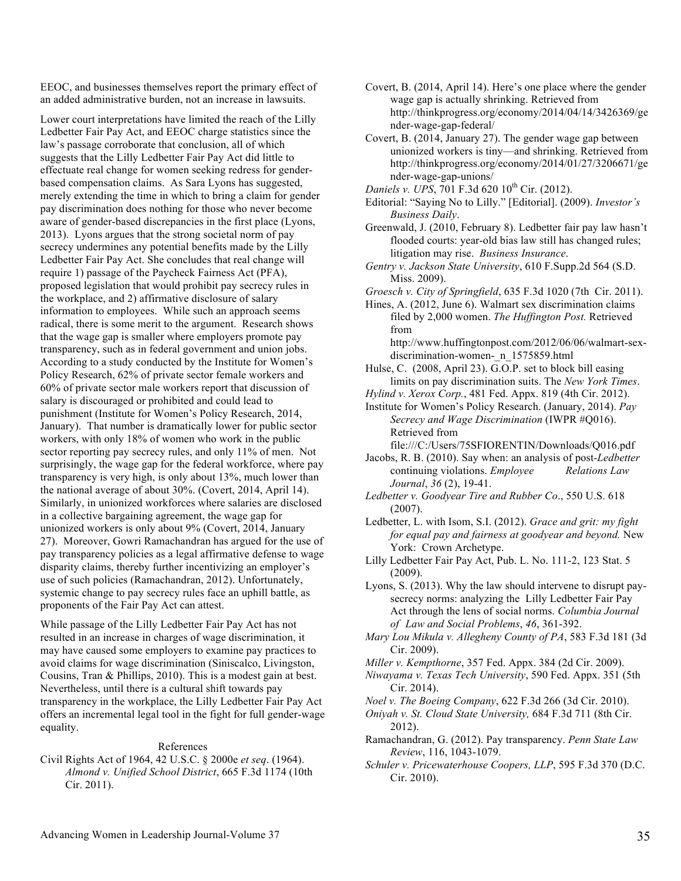EEOC, and businesses themselves report the primary effect of an added administrative burden, not an increase in lawsuits.

Lower court interpretations have limited the reach of the Lilly Ledbetter Fair Pay Act, and EEOC charge statistics since the law's passage corroborate that conclusion, all of which suggests that the Lilly Ledbetter Fair Pay Act did little to effectuate real change for women seeking redress for genderbased compensation claims. As Sara Lyons has suggested, merely extending the time in which to bring a claim for gender pay discrimination does nothing for those who never become aware of gender-based discrepancies in the first place (Lyons, 2013). Lyons argues that the strong societal norm of pay secrecy undermines any potential benefits made by the Lilly Ledbetter Fair Pay Act. She concludes that real change will require 1) passage of the Paycheck Fairness Act (PFA), proposed legislation that would prohibit pay secrecy rules in the workplace, and 2) affirmative disclosure of salary information to employees. While such an approach seems radical, there is some merit to the argument. Research shows that the wage gap is smaller where employers promote pay transparency, such as in federal government and union jobs. According to a study conducted by the Institute for Women's Policy Research, 62% of private sector female workers and 60% of private sector male workers report that discussion of salary is discouraged or prohibited and could lead to punishment (Institute for Women's Policy Research, 2014, January). That number is dramatically lower for public sector workers, with only 18% of women who work in the public sector reporting pay secrecy rules, and only 11% of men. Not surprisingly, the wage gap for the federal workforce, where pay transparency is very high, is only about 13%, much lower than the national average of about 30%. (Covert, 2014, April 14). Similarly, in unionized workforces where salaries are disclosed in a collective bargaining agreement, the wage gap for unionized workers is only about 9% (Covert, 2014, January 27). Moreover, Gowri Ramachandran has argued for the use of pay transparency policies as a legal affirmative defense to wage disparity claims, thereby further incentivizing an employer's use of such policies (Ramachandran, 2012). Unfortunately, systemic change to pay secrecy rules face an uphill battle, as proponents of the Fair Pay Act can attest.

While passage of the Lilly Ledbetter Fair Pay Act has not resulted in an increase in charges of wage discrimination, it may have caused some employers to examine pay practices to avoid claims for wage discrimination (Siniscalco, Livingston, Cousins, Tran & Phillips, 2010). This is a modest gain at best. Nevertheless, until there is a cultural shift towards pay transparency in the workplace, the Lilly Ledbetter Fair Pay Act offers an incremental legal tool in the fight for full gender-wage equality.

#### References

Civil Rights Act of 1964, 42 U.S.C. § 2000e *et seq*. (1964). *Almond v. Unified School District*, 665 F.3d 1174 (10th Cir. 2011).

Covert, B. (2014, April 14). Here's one place where the gender wage gap is actually shrinking. Retrieved from http://thinkprogress.org/economy/2014/04/14/3426369/ge nder-wage-gap-federal/

- Covert, B. (2014, January 27). The gender wage gap between unionized workers is tiny—and shrinking. Retrieved from http://thinkprogress.org/economy/2014/01/27/3206671/ge nder-wage-gap-unions/
- *Daniels v. UPS*, 701 F.3d 620 10<sup>th</sup> Cir. (2012).
- Editorial: "Saying No to Lilly." [Editorial]. (2009). *Investor's Business Daily*.
- Greenwald, J. (2010, February 8). Ledbetter fair pay law hasn't flooded courts: year-old bias law still has changed rules; litigation may rise. *Business Insurance*.
- *Gentry v. Jackson State University*, 610 F.Supp.2d 564 (S.D. Miss. 2009).
- *Groesch v. City of Springfield*, 635 F.3d 1020 (7th Cir. 2011).

Hines, A. (2012, June 6). Walmart sex discrimination claims filed by 2,000 women. *The Huffington Post.* Retrieved from

http://www.huffingtonpost.com/2012/06/06/walmart-sexdiscrimination-women-\_n\_1575859.html

- Hulse, C. (2008, April 23). G.O.P. set to block bill easing limits on pay discrimination suits. The *New York Times*.
- *Hylind v. Xerox Corp.*, 481 Fed. Appx. 819 (4th Cir. 2012).
- Institute for Women's Policy Research. (January, 2014). *Pay Secrecy and Wage Discrimination* (IWPR #Q016). Retrieved from

file:///C:/Users/75SFIORENTIN/Downloads/Q016.pdf

- Jacobs, R. B. (2010). Say when: an analysis of post-*Ledbetter* continuing violations. *Employee Relations Law Journal*, *36* (2), 19-41.
- *Ledbetter v. Goodyear Tire and Rubber Co*., 550 U.S. 618 (2007).
- Ledbetter, L. with Isom, S.I. (2012). *Grace and grit: my fight for equal pay and fairness at goodyear and beyond.* New York: Crown Archetype.
- Lilly Ledbetter Fair Pay Act, Pub. L. No. 111-2, 123 Stat. 5 (2009).
- Lyons, S. (2013). Why the law should intervene to disrupt paysecrecy norms: analyzing the Lilly Ledbetter Fair Pay Act through the lens of social norms. *Columbia Journal of Law and Social Problems*, *46*, 361-392.
- *Mary Lou Mikula v. Allegheny County of PA*, 583 F.3d 181 (3d Cir. 2009).
- *Miller v. Kempthorne*, 357 Fed. Appx. 384 (2d Cir. 2009).
- *Niwayama v. Texas Tech University*, 590 Fed. Appx. 351 (5th Cir. 2014).

*Noel v. The Boeing Company*, 622 F.3d 266 (3d Cir. 2010).

- *Oniyah v. St. Cloud State University,* 684 F.3d 711 (8th Cir. 2012).
- Ramachandran, G. (2012). Pay transparency. *Penn State Law Review*, 116, 1043-1079.
- *Schuler v. Pricewaterhouse Coopers, LLP*, 595 F.3d 370 (D.C. Cir. 2010).